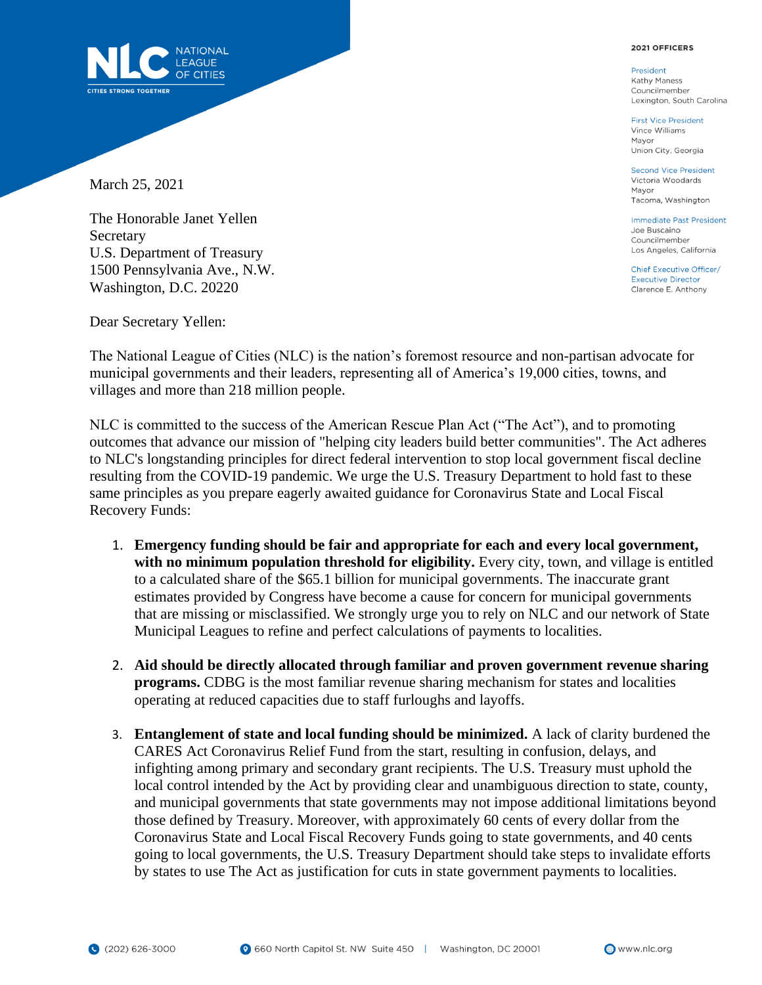

President Kathy Maness Councilmember Lexington, South Carolina

**First Vice President** Vince Williams Mayor Union City, Georgia

**Second Vice President** Victoria Woodards Mayor Tacoma, Washington

**Immediate Past President** Joe Buscaino Councilmember Los Angeles, California

Chief Executive Officer/ **Executive Director** Clarence E. Anthony



March 25, 2021

The Honorable Janet Yellen Secretary U.S. Department of Treasury 1500 Pennsylvania Ave., N.W. Washington, D.C. 20220

Dear Secretary Yellen:

The National League of Cities (NLC) is the nation's foremost resource and non-partisan advocate for municipal governments and their leaders, representing all of America's 19,000 cities, towns, and villages and more than 218 million people.

NLC is committed to the success of the American Rescue Plan Act ("The Act"), and to promoting outcomes that advance our mission of "helping city leaders build better communities". The Act adheres to NLC's longstanding principles for direct federal intervention to stop local government fiscal decline resulting from the COVID-19 pandemic. We urge the U.S. Treasury Department to hold fast to these same principles as you prepare eagerly awaited guidance for Coronavirus State and Local Fiscal Recovery Funds:

- 1. **Emergency funding should be fair and appropriate for each and every local government, with no minimum population threshold for eligibility.** Every city, town, and village is entitled to a calculated share of the \$65.1 billion for municipal governments. The inaccurate grant estimates provided by Congress have become a cause for concern for municipal governments that are missing or misclassified. We strongly urge you to rely on NLC and our network of State Municipal Leagues to refine and perfect calculations of payments to localities.
- 2. **Aid should be directly allocated through familiar and proven government revenue sharing programs.** CDBG is the most familiar revenue sharing mechanism for states and localities operating at reduced capacities due to staff furloughs and layoffs.
- 3. **Entanglement of state and local funding should be minimized.** A lack of clarity burdened the CARES Act Coronavirus Relief Fund from the start, resulting in confusion, delays, and infighting among primary and secondary grant recipients. The U.S. Treasury must uphold the local control intended by the Act by providing clear and unambiguous direction to state, county, and municipal governments that state governments may not impose additional limitations beyond those defined by Treasury. Moreover, with approximately 60 cents of every dollar from the Coronavirus State and Local Fiscal Recovery Funds going to state governments, and 40 cents going to local governments, the U.S. Treasury Department should take steps to invalidate efforts by states to use The Act as justification for cuts in state government payments to localities.

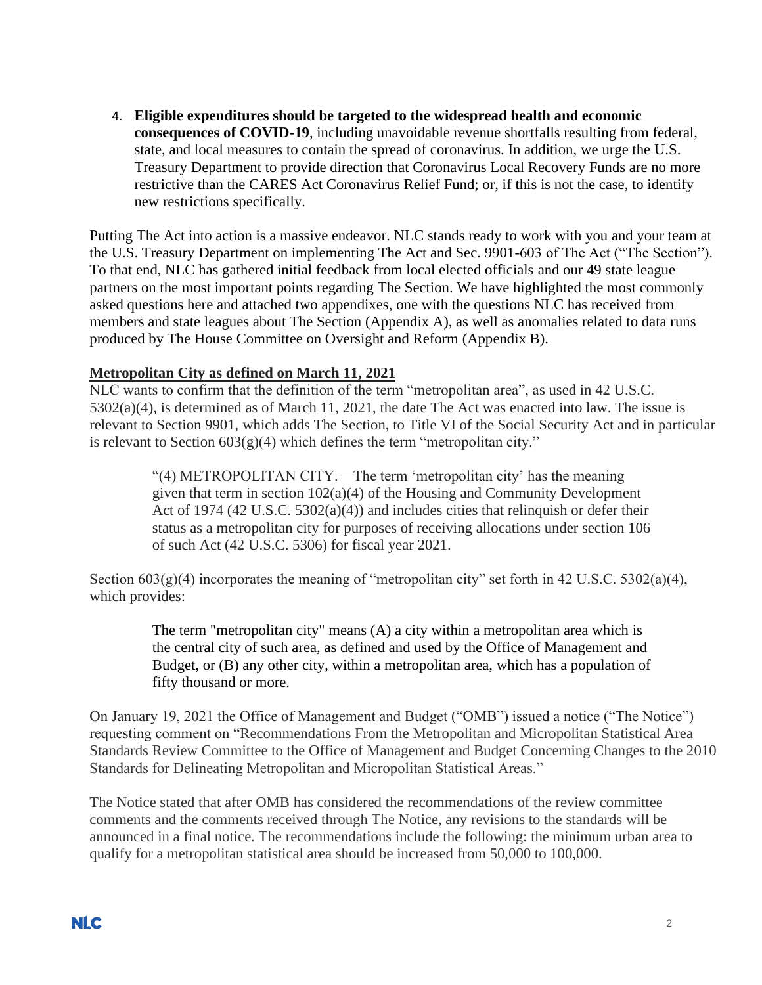4. **Eligible expenditures should be targeted to the widespread health and economic consequences of COVID-19**, including unavoidable revenue shortfalls resulting from federal, state, and local measures to contain the spread of coronavirus. In addition, we urge the U.S. Treasury Department to provide direction that Coronavirus Local Recovery Funds are no more restrictive than the CARES Act Coronavirus Relief Fund; or, if this is not the case, to identify new restrictions specifically.

Putting The Act into action is a massive endeavor. NLC stands ready to work with you and your team at the U.S. Treasury Department on implementing The Act and Sec. 9901-603 of The Act ("The Section"). To that end, NLC has gathered initial feedback from local elected officials and our 49 state league partners on the most important points regarding The Section. We have highlighted the most commonly asked questions here and attached two appendixes, one with the questions NLC has received from members and state leagues about The Section (Appendix A), as well as anomalies related to data runs produced by The House Committee on Oversight and Reform (Appendix B).

# **Metropolitan City as defined on March 11, 2021**

NLC wants to confirm that the definition of the term "metropolitan area", as used in 42 U.S.C. 5302(a)(4), is determined as of March 11, 2021, the date The Act was enacted into law. The issue is relevant to Section 9901, which adds The Section, to Title VI of the Social Security Act and in particular is relevant to Section  $603(g)(4)$  which defines the term "metropolitan city."

"(4) METROPOLITAN CITY.—The term 'metropolitan city' has the meaning given that term in section  $102(a)(4)$  of the Housing and Community Development Act of 1974 (42 U.S.C. 5302(a)(4)) and includes cities that relinquish or defer their status as a metropolitan city for purposes of receiving allocations under section 106 of such Act (42 U.S.C. 5306) for fiscal year 2021.

Section  $603(g)(4)$  incorporates the meaning of "metropolitan city" set forth in 42 U.S.C. 5302(a)(4), which provides:

> The term "metropolitan city" means (A) a city within a metropolitan area which is the central city of such area, as defined and used by the Office of Management and Budget, or (B) any other city, within a metropolitan area, which has a population of fifty thousand or more.

On January 19, 2021 the Office of Management and Budget ("OMB") issued a notice ("The Notice") requesting comment on "Recommendations From the Metropolitan and Micropolitan Statistical Area Standards Review Committee to the Office of Management and Budget Concerning Changes to the 2010 Standards for Delineating Metropolitan and Micropolitan Statistical Areas."

The Notice stated that after OMB has considered the recommendations of the review committee comments and the comments received through The Notice, any revisions to the standards will be announced in a final notice. The recommendations include the following: the minimum urban area to qualify for a metropolitan statistical area should be increased from 50,000 to 100,000.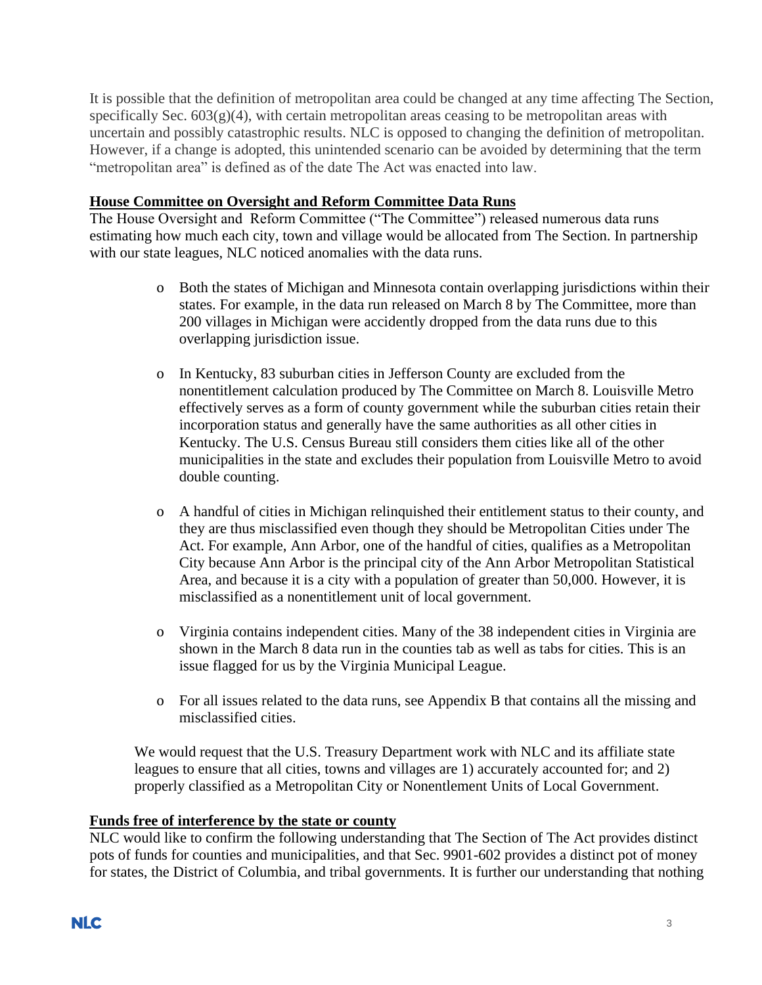It is possible that the definition of metropolitan area could be changed at any time affecting The Section, specifically Sec.  $603(g)(4)$ , with certain metropolitan areas ceasing to be metropolitan areas with uncertain and possibly catastrophic results. NLC is opposed to changing the definition of metropolitan. However, if a change is adopted, this unintended scenario can be avoided by determining that the term "metropolitan area" is defined as of the date The Act was enacted into law.

# **House Committee on Oversight and Reform Committee Data Runs**

The House Oversight and Reform Committee ("The Committee") released numerous data runs estimating how much each city, town and village would be allocated from The Section. In partnership with our state leagues, NLC noticed anomalies with the data runs.

- o Both the states of Michigan and Minnesota contain overlapping jurisdictions within their states. For example, in the data run released on March 8 by The Committee, more than 200 villages in Michigan were accidently dropped from the data runs due to this overlapping jurisdiction issue.
- o In Kentucky, 83 suburban cities in Jefferson County are excluded from the nonentitlement calculation produced by The Committee on March 8. Louisville Metro effectively serves as a form of county government while the suburban cities retain their incorporation status and generally have the same authorities as all other cities in Kentucky. The U.S. Census Bureau still considers them cities like all of the other municipalities in the state and excludes their population from Louisville Metro to avoid double counting.
- o A handful of cities in Michigan relinquished their entitlement status to their county, and they are thus misclassified even though they should be Metropolitan Cities under The Act. For example, Ann Arbor, one of the handful of cities, qualifies as a Metropolitan City because Ann Arbor is the principal city of the Ann Arbor Metropolitan Statistical Area, and because it is a city with a population of greater than 50,000. However, it is misclassified as a nonentitlement unit of local government.
- o Virginia contains independent cities. Many of the 38 independent cities in Virginia are shown in the March 8 data run in the counties tab as well as tabs for cities. This is an issue flagged for us by the Virginia Municipal League.
- o For all issues related to the data runs, see Appendix B that contains all the missing and misclassified cities.

We would request that the U.S. Treasury Department work with NLC and its affiliate state leagues to ensure that all cities, towns and villages are 1) accurately accounted for; and 2) properly classified as a Metropolitan City or Nonentlement Units of Local Government.

# **Funds free of interference by the state or county**

NLC would like to confirm the following understanding that The Section of The Act provides distinct pots of funds for counties and municipalities, and that Sec. 9901-602 provides a distinct pot of money for states, the District of Columbia, and tribal governments. It is further our understanding that nothing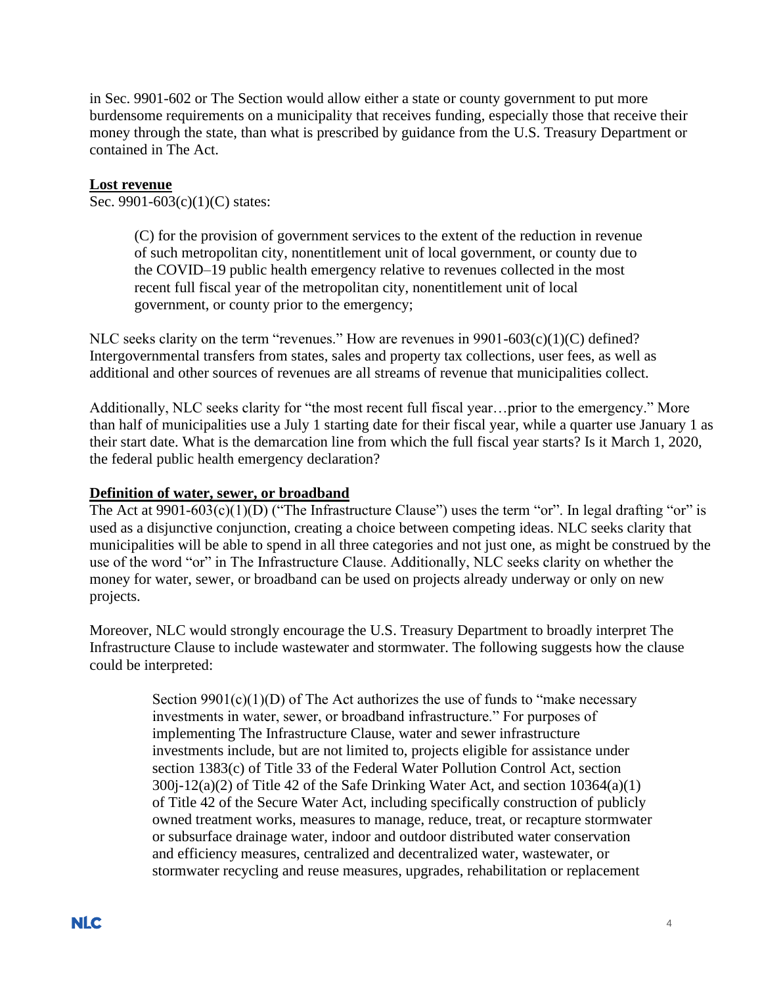in Sec. 9901-602 or The Section would allow either a state or county government to put more burdensome requirements on a municipality that receives funding, especially those that receive their money through the state, than what is prescribed by guidance from the U.S. Treasury Department or contained in The Act.

### **Lost revenue**

Sec. 9901-603(c)(1)(C) states:

(C) for the provision of government services to the extent of the reduction in revenue of such metropolitan city, nonentitlement unit of local government, or county due to the COVID–19 public health emergency relative to revenues collected in the most recent full fiscal year of the metropolitan city, nonentitlement unit of local government, or county prior to the emergency;

NLC seeks clarity on the term "revenues." How are revenues in  $9901-603(c)(1)(C)$  defined? Intergovernmental transfers from states, sales and property tax collections, user fees, as well as additional and other sources of revenues are all streams of revenue that municipalities collect.

Additionally, NLC seeks clarity for "the most recent full fiscal year…prior to the emergency." More than half of municipalities use a July 1 starting date for their fiscal year, while a quarter use January 1 as their start date. What is the demarcation line from which the full fiscal year starts? Is it March 1, 2020, the federal public health emergency declaration?

### **Definition of water, sewer, or broadband**

The Act at 9901-603(c)(1)(D) ("The Infrastructure Clause") uses the term "or". In legal drafting "or" is used as a disjunctive conjunction, creating a choice between competing ideas. NLC seeks clarity that municipalities will be able to spend in all three categories and not just one, as might be construed by the use of the word "or" in The Infrastructure Clause. Additionally, NLC seeks clarity on whether the money for water, sewer, or broadband can be used on projects already underway or only on new projects.

Moreover, NLC would strongly encourage the U.S. Treasury Department to broadly interpret The Infrastructure Clause to include wastewater and stormwater. The following suggests how the clause could be interpreted:

> Section  $9901(c)(1)(D)$  of The Act authorizes the use of funds to "make necessary" investments in water, sewer, or broadband infrastructure." For purposes of implementing The Infrastructure Clause, water and sewer infrastructure investments include, but are not limited to, projects eligible for assistance under section 1383(c) of Title 33 of the Federal Water Pollution Control Act, section 300j-12(a)(2) of Title 42 of the Safe Drinking Water Act, and section 10364(a)(1) of Title 42 of the Secure Water Act, including specifically construction of publicly owned treatment works, measures to manage, reduce, treat, or recapture stormwater or subsurface drainage water, indoor and outdoor distributed water conservation and efficiency measures, centralized and decentralized water, wastewater, or stormwater recycling and reuse measures, upgrades, rehabilitation or replacement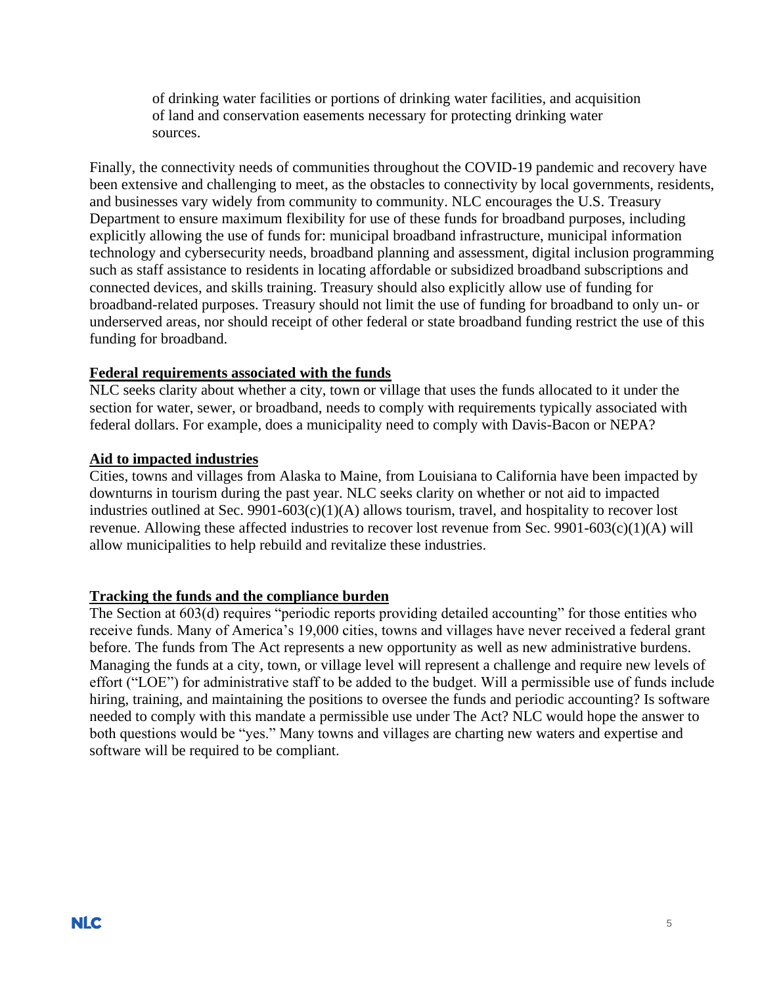of drinking water facilities or portions of drinking water facilities, and acquisition of land and conservation easements necessary for protecting drinking water sources.

Finally, the connectivity needs of communities throughout the COVID-19 pandemic and recovery have been extensive and challenging to meet, as the obstacles to connectivity by local governments, residents, and businesses vary widely from community to community. NLC encourages the U.S. Treasury Department to ensure maximum flexibility for use of these funds for broadband purposes, including explicitly allowing the use of funds for: municipal broadband infrastructure, municipal information technology and cybersecurity needs, broadband planning and assessment, digital inclusion programming such as staff assistance to residents in locating affordable or subsidized broadband subscriptions and connected devices, and skills training. Treasury should also explicitly allow use of funding for broadband-related purposes. Treasury should not limit the use of funding for broadband to only un- or underserved areas, nor should receipt of other federal or state broadband funding restrict the use of this funding for broadband.

# **Federal requirements associated with the funds**

NLC seeks clarity about whether a city, town or village that uses the funds allocated to it under the section for water, sewer, or broadband, needs to comply with requirements typically associated with federal dollars. For example, does a municipality need to comply with Davis-Bacon or NEPA?

# **Aid to impacted industries**

Cities, towns and villages from Alaska to Maine, from Louisiana to California have been impacted by downturns in tourism during the past year. NLC seeks clarity on whether or not aid to impacted industries outlined at Sec. 9901-603(c)(1)(A) allows tourism, travel, and hospitality to recover lost revenue. Allowing these affected industries to recover lost revenue from Sec. 9901-603(c)(1)(A) will allow municipalities to help rebuild and revitalize these industries.

#### **Tracking the funds and the compliance burden**

The Section at 603(d) requires "periodic reports providing detailed accounting" for those entities who receive funds. Many of America's 19,000 cities, towns and villages have never received a federal grant before. The funds from The Act represents a new opportunity as well as new administrative burdens. Managing the funds at a city, town, or village level will represent a challenge and require new levels of effort ("LOE") for administrative staff to be added to the budget. Will a permissible use of funds include hiring, training, and maintaining the positions to oversee the funds and periodic accounting? Is software needed to comply with this mandate a permissible use under The Act? NLC would hope the answer to both questions would be "yes." Many towns and villages are charting new waters and expertise and software will be required to be compliant.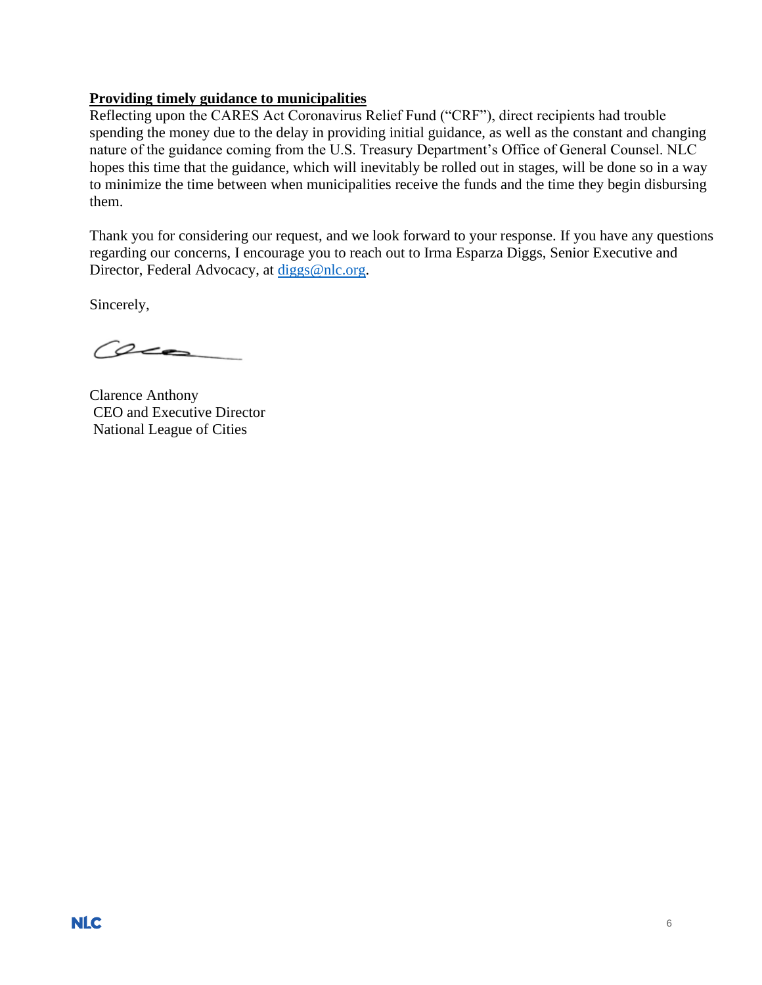# **Providing timely guidance to municipalities**

Reflecting upon the CARES Act Coronavirus Relief Fund ("CRF"), direct recipients had trouble spending the money due to the delay in providing initial guidance, as well as the constant and changing nature of the guidance coming from the U.S. Treasury Department's Office of General Counsel. NLC hopes this time that the guidance, which will inevitably be rolled out in stages, will be done so in a way to minimize the time between when municipalities receive the funds and the time they begin disbursing them.

Thank you for considering our request, and we look forward to your response. If you have any questions regarding our concerns, I encourage you to reach out to Irma Esparza Diggs, Senior Executive and Director, Federal Advocacy, at [diggs@nlc.org.](mailto:diggs@nlc.org)

Sincerely,

Ceca

Clarence Anthony CEO and Executive Director National League of Cities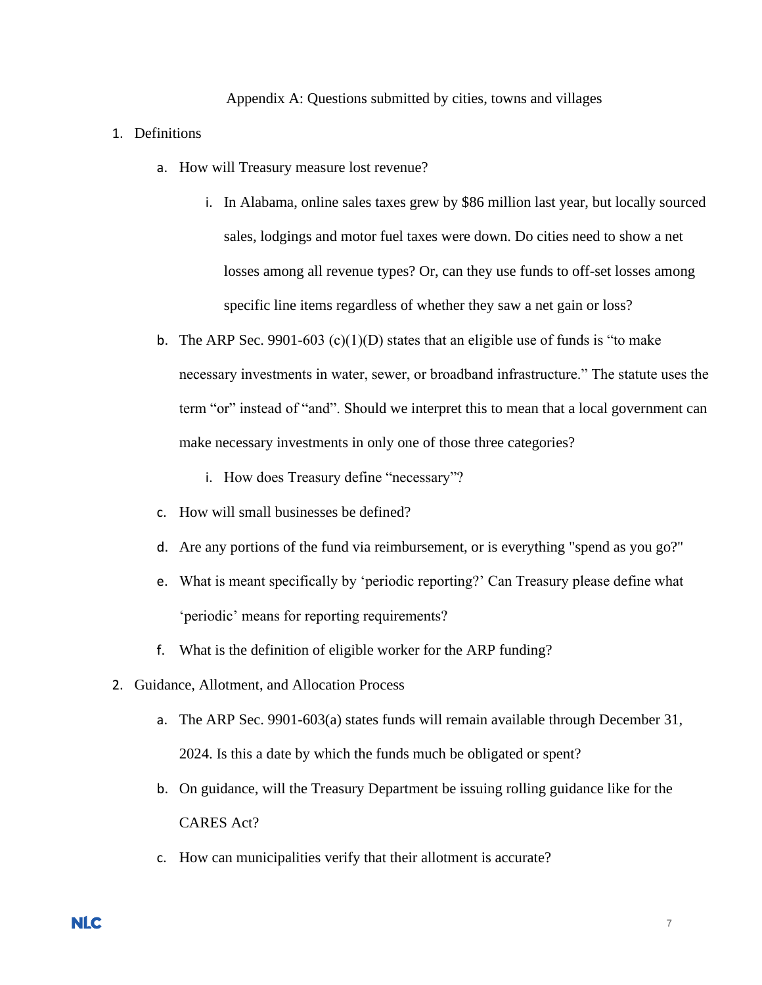#### Appendix A: Questions submitted by cities, towns and villages

#### 1. Definitions

- a. How will Treasury measure lost revenue?
	- i. In Alabama, online sales taxes grew by \$86 million last year, but locally sourced sales, lodgings and motor fuel taxes were down. Do cities need to show a net losses among all revenue types? Or, can they use funds to off-set losses among specific line items regardless of whether they saw a net gain or loss?
- b. The ARP Sec. 9901-603 (c)(1)(D) states that an eligible use of funds is "to make necessary investments in water, sewer, or broadband infrastructure." The statute uses the term "or" instead of "and". Should we interpret this to mean that a local government can make necessary investments in only one of those three categories?
	- i. How does Treasury define "necessary"?
- c. How will small businesses be defined?
- d. Are any portions of the fund via reimbursement, or is everything "spend as you go?"
- e. What is meant specifically by 'periodic reporting?' Can Treasury please define what 'periodic' means for reporting requirements?
- f. What is the definition of eligible worker for the ARP funding?
- 2. Guidance, Allotment, and Allocation Process
	- a. The ARP Sec. 9901-603(a) states funds will remain available through December 31, 2024. Is this a date by which the funds much be obligated or spent?
	- b. On guidance, will the Treasury Department be issuing rolling guidance like for the CARES Act?
	- c. How can municipalities verify that their allotment is accurate?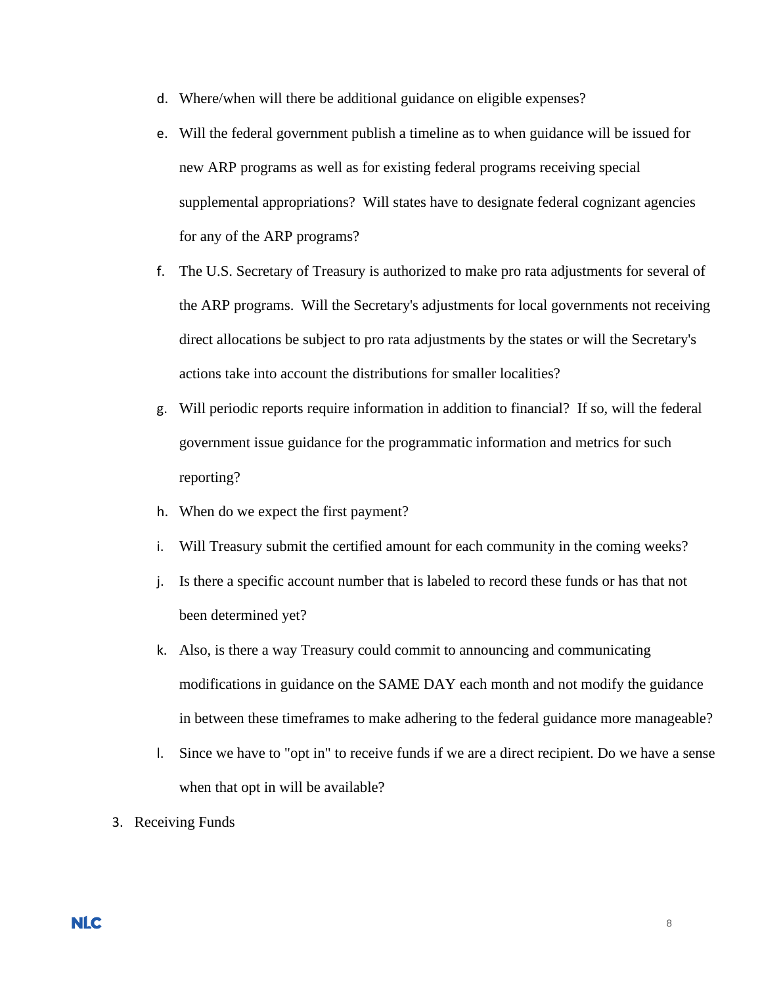- d. Where/when will there be additional guidance on eligible expenses?
- e. Will the federal government publish a timeline as to when guidance will be issued for new ARP programs as well as for existing federal programs receiving special supplemental appropriations? Will states have to designate federal cognizant agencies for any of the ARP programs?
- f. The U.S. Secretary of Treasury is authorized to make pro rata adjustments for several of the ARP programs. Will the Secretary's adjustments for local governments not receiving direct allocations be subject to pro rata adjustments by the states or will the Secretary's actions take into account the distributions for smaller localities?
- g. Will periodic reports require information in addition to financial? If so, will the federal government issue guidance for the programmatic information and metrics for such reporting?
- h. When do we expect the first payment?
- i. Will Treasury submit the certified amount for each community in the coming weeks?
- j. Is there a specific account number that is labeled to record these funds or has that not been determined yet?
- k. Also, is there a way Treasury could commit to announcing and communicating modifications in guidance on the SAME DAY each month and not modify the guidance in between these timeframes to make adhering to the federal guidance more manageable?
- l. Since we have to "opt in" to receive funds if we are a direct recipient. Do we have a sense when that opt in will be available?
- 3. Receiving Funds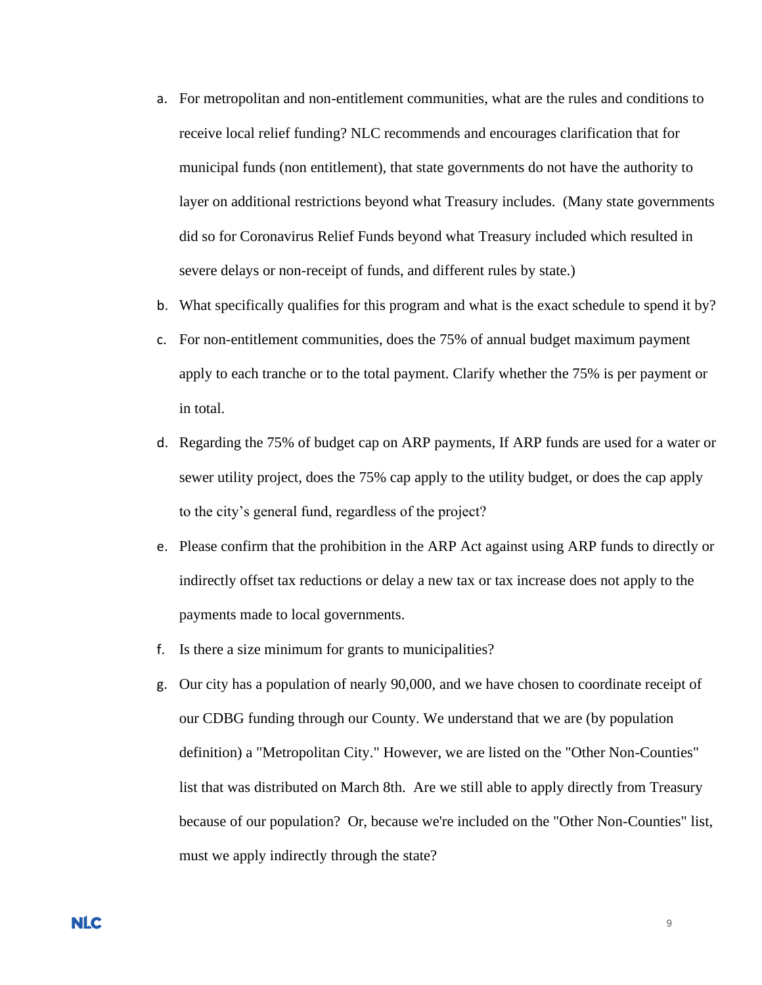- a. For metropolitan and non-entitlement communities, what are the rules and conditions to receive local relief funding? NLC recommends and encourages clarification that for municipal funds (non entitlement), that state governments do not have the authority to layer on additional restrictions beyond what Treasury includes. (Many state governments did so for Coronavirus Relief Funds beyond what Treasury included which resulted in severe delays or non-receipt of funds, and different rules by state.)
- b. What specifically qualifies for this program and what is the exact schedule to spend it by?
- c. For non-entitlement communities, does the 75% of annual budget maximum payment apply to each tranche or to the total payment. Clarify whether the 75% is per payment or in total.
- d. Regarding the 75% of budget cap on ARP payments, If ARP funds are used for a water or sewer utility project, does the 75% cap apply to the utility budget, or does the cap apply to the city's general fund, regardless of the project?
- e. Please confirm that the prohibition in the ARP Act against using ARP funds to directly or indirectly offset tax reductions or delay a new tax or tax increase does not apply to the payments made to local governments.
- f. Is there a size minimum for grants to municipalities?
- g. Our city has a population of nearly 90,000, and we have chosen to coordinate receipt of our CDBG funding through our County. We understand that we are (by population definition) a "Metropolitan City." However, we are listed on the "Other Non-Counties" list that was distributed on March 8th. Are we still able to apply directly from Treasury because of our population? Or, because we're included on the "Other Non-Counties" list, must we apply indirectly through the state?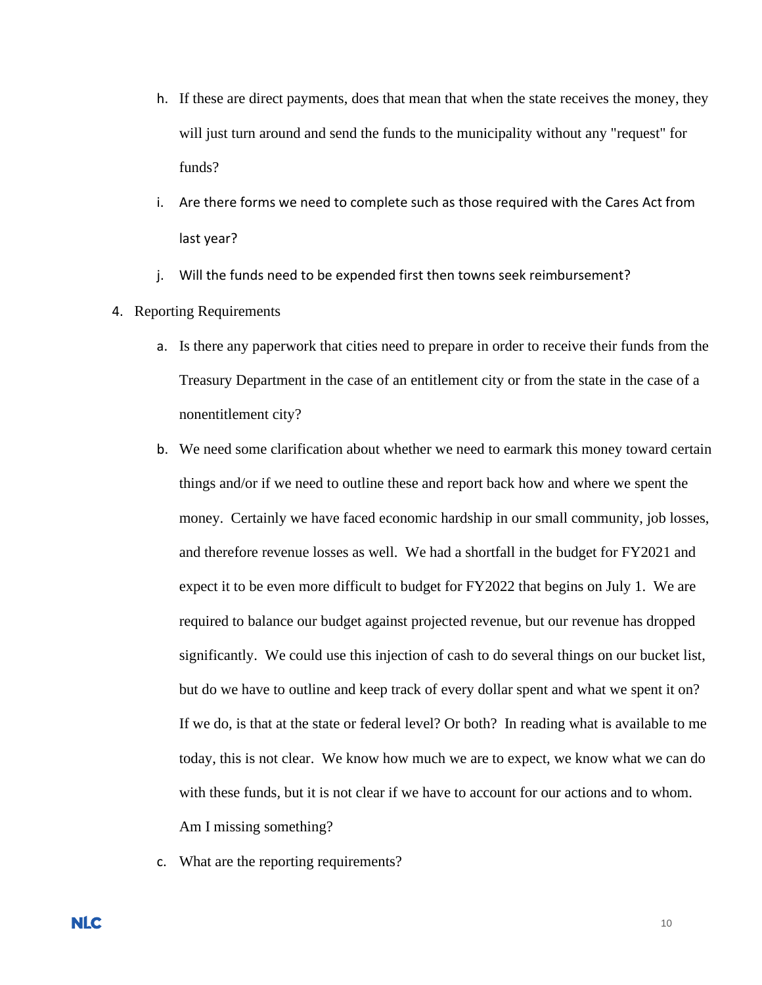- h. If these are direct payments, does that mean that when the state receives the money, they will just turn around and send the funds to the municipality without any "request" for funds?
- i. Are there forms we need to complete such as those required with the Cares Act from last year?
- j. Will the funds need to be expended first then towns seek reimbursement?
- 4. Reporting Requirements
	- a. Is there any paperwork that cities need to prepare in order to receive their funds from the Treasury Department in the case of an entitlement city or from the state in the case of a nonentitlement city?
	- b. We need some clarification about whether we need to earmark this money toward certain things and/or if we need to outline these and report back how and where we spent the money. Certainly we have faced economic hardship in our small community, job losses, and therefore revenue losses as well. We had a shortfall in the budget for FY2021 and expect it to be even more difficult to budget for FY2022 that begins on July 1. We are required to balance our budget against projected revenue, but our revenue has dropped significantly. We could use this injection of cash to do several things on our bucket list, but do we have to outline and keep track of every dollar spent and what we spent it on? If we do, is that at the state or federal level? Or both? In reading what is available to me today, this is not clear. We know how much we are to expect, we know what we can do with these funds, but it is not clear if we have to account for our actions and to whom. Am I missing something?
	- c. What are the reporting requirements?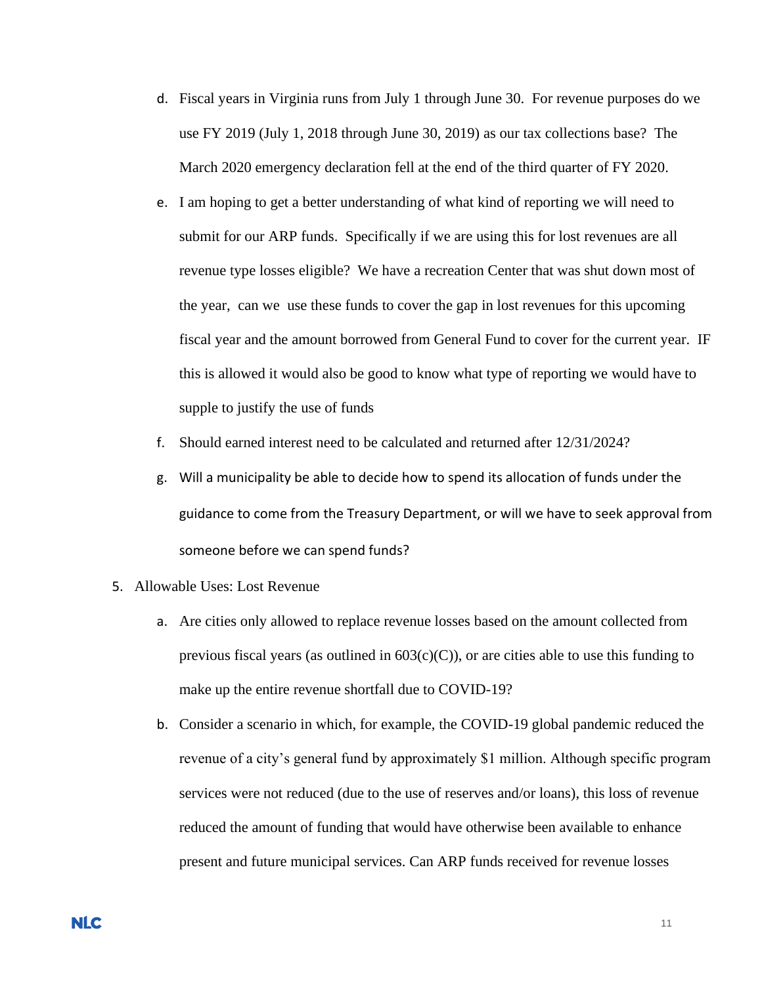- d. Fiscal years in Virginia runs from July 1 through June 30. For revenue purposes do we use FY 2019 (July 1, 2018 through June 30, 2019) as our tax collections base? The March 2020 emergency declaration fell at the end of the third quarter of FY 2020.
- e. I am hoping to get a better understanding of what kind of reporting we will need to submit for our ARP funds. Specifically if we are using this for lost revenues are all revenue type losses eligible? We have a recreation Center that was shut down most of the year, can we use these funds to cover the gap in lost revenues for this upcoming fiscal year and the amount borrowed from General Fund to cover for the current year. IF this is allowed it would also be good to know what type of reporting we would have to supple to justify the use of funds
- f. Should earned interest need to be calculated and returned after 12/31/2024?
- g. Will a municipality be able to decide how to spend its allocation of funds under the guidance to come from the Treasury Department, or will we have to seek approval from someone before we can spend funds?
- 5. Allowable Uses: Lost Revenue
	- a. Are cities only allowed to replace revenue losses based on the amount collected from previous fiscal years (as outlined in  $603(c)(C)$ ), or are cities able to use this funding to make up the entire revenue shortfall due to COVID-19?
	- b. Consider a scenario in which, for example, the COVID-19 global pandemic reduced the revenue of a city's general fund by approximately \$1 million. Although specific program services were not reduced (due to the use of reserves and/or loans), this loss of revenue reduced the amount of funding that would have otherwise been available to enhance present and future municipal services. Can ARP funds received for revenue losses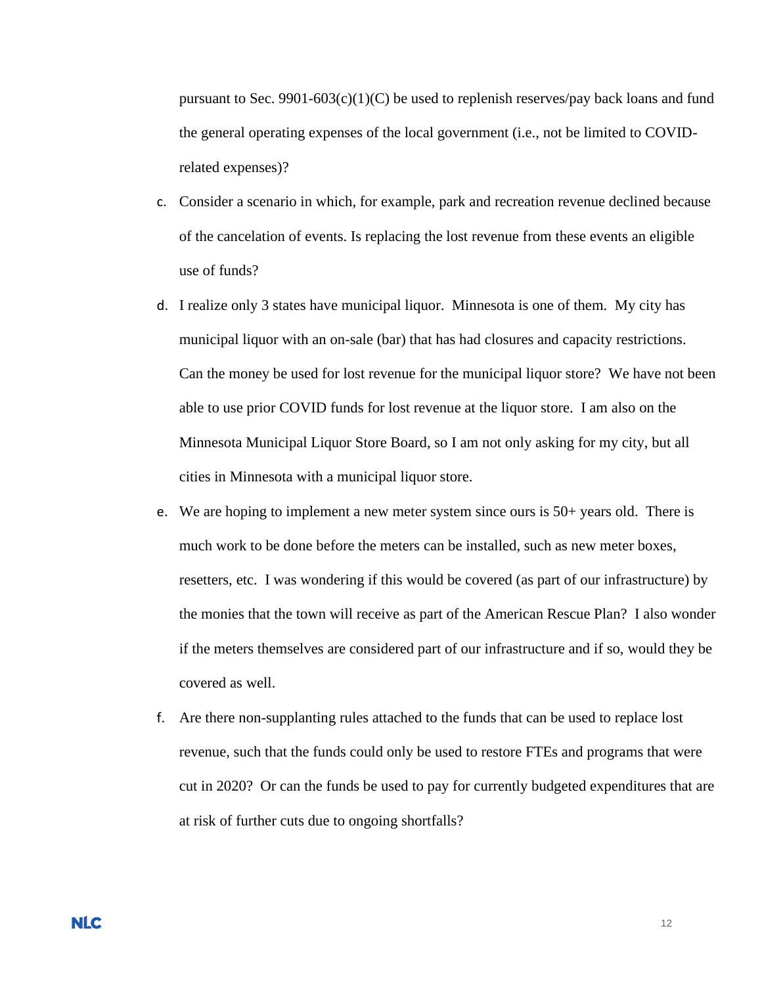pursuant to Sec. 9901-603(c)(1)(C) be used to replenish reserves/pay back loans and fund the general operating expenses of the local government (i.e., not be limited to COVIDrelated expenses)?

- c. Consider a scenario in which, for example, park and recreation revenue declined because of the cancelation of events. Is replacing the lost revenue from these events an eligible use of funds?
- d. I realize only 3 states have municipal liquor. Minnesota is one of them. My city has municipal liquor with an on-sale (bar) that has had closures and capacity restrictions. Can the money be used for lost revenue for the municipal liquor store? We have not been able to use prior COVID funds for lost revenue at the liquor store. I am also on the Minnesota Municipal Liquor Store Board, so I am not only asking for my city, but all cities in Minnesota with a municipal liquor store.
- e. We are hoping to implement a new meter system since ours is 50+ years old. There is much work to be done before the meters can be installed, such as new meter boxes, resetters, etc. I was wondering if this would be covered (as part of our infrastructure) by the monies that the town will receive as part of the American Rescue Plan? I also wonder if the meters themselves are considered part of our infrastructure and if so, would they be covered as well.
- f. Are there non-supplanting rules attached to the funds that can be used to replace lost revenue, such that the funds could only be used to restore FTEs and programs that were cut in 2020? Or can the funds be used to pay for currently budgeted expenditures that are at risk of further cuts due to ongoing shortfalls?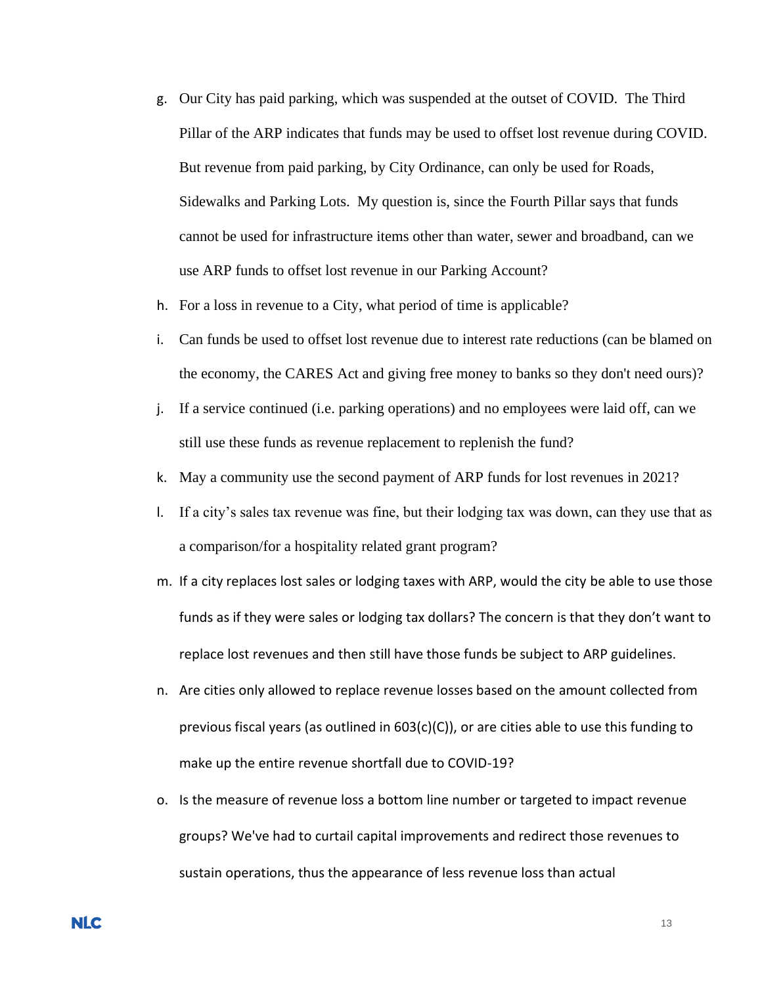- g. Our City has paid parking, which was suspended at the outset of COVID. The Third Pillar of the ARP indicates that funds may be used to offset lost revenue during COVID. But revenue from paid parking, by City Ordinance, can only be used for Roads, Sidewalks and Parking Lots. My question is, since the Fourth Pillar says that funds cannot be used for infrastructure items other than water, sewer and broadband, can we use ARP funds to offset lost revenue in our Parking Account?
- h. For a loss in revenue to a City, what period of time is applicable?
- i. Can funds be used to offset lost revenue due to interest rate reductions (can be blamed on the economy, the CARES Act and giving free money to banks so they don't need ours)?
- j. If a service continued (i.e. parking operations) and no employees were laid off, can we still use these funds as revenue replacement to replenish the fund?
- k. May a community use the second payment of ARP funds for lost revenues in 2021?
- l. If a city's sales tax revenue was fine, but their lodging tax was down, can they use that as a comparison/for a hospitality related grant program?
- m. If a city replaces lost sales or lodging taxes with ARP, would the city be able to use those funds as if they were sales or lodging tax dollars? The concern is that they don't want to replace lost revenues and then still have those funds be subject to ARP guidelines.
- n. Are cities only allowed to replace revenue losses based on the amount collected from previous fiscal years (as outlined in 603(c)(C)), or are cities able to use this funding to make up the entire revenue shortfall due to COVID-19?
- o. Is the measure of revenue loss a bottom line number or targeted to impact revenue groups? We've had to curtail capital improvements and redirect those revenues to sustain operations, thus the appearance of less revenue loss than actual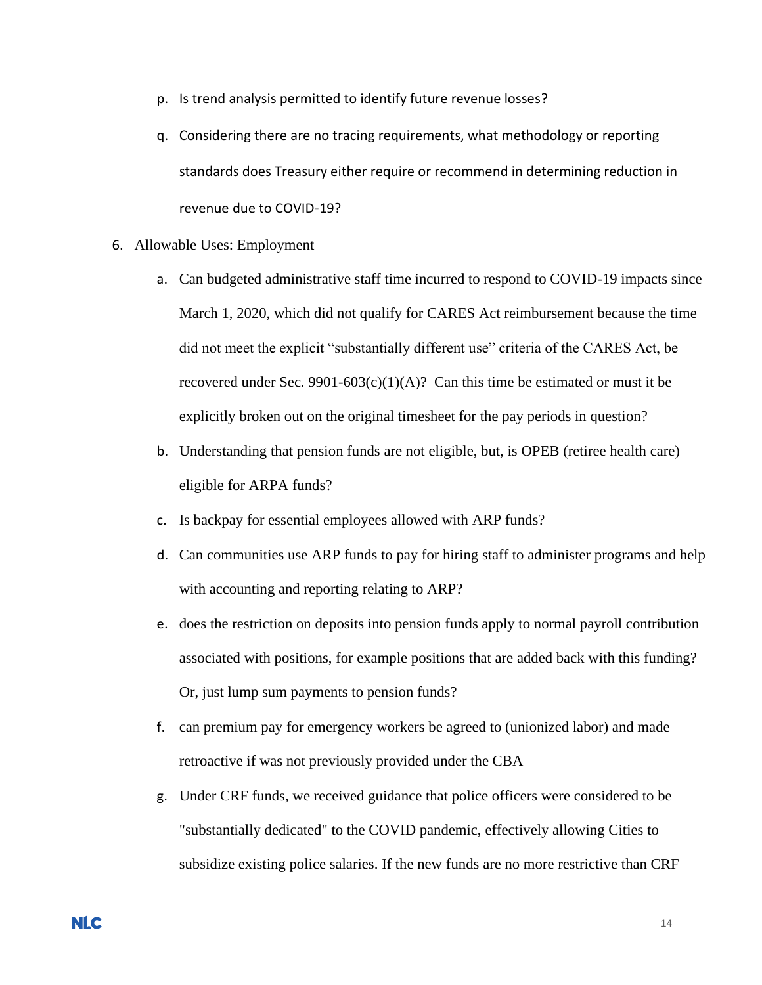- p. Is trend analysis permitted to identify future revenue losses?
- q. Considering there are no tracing requirements, what methodology or reporting standards does Treasury either require or recommend in determining reduction in revenue due to COVID-19?
- 6. Allowable Uses: Employment
	- a. Can budgeted administrative staff time incurred to respond to COVID-19 impacts since March 1, 2020, which did not qualify for CARES Act reimbursement because the time did not meet the explicit "substantially different use" criteria of the CARES Act, be recovered under Sec. 9901-603(c)(1)(A)? Can this time be estimated or must it be explicitly broken out on the original timesheet for the pay periods in question?
	- b. Understanding that pension funds are not eligible, but, is OPEB (retiree health care) eligible for ARPA funds?
	- c. Is backpay for essential employees allowed with ARP funds?
	- d. Can communities use ARP funds to pay for hiring staff to administer programs and help with accounting and reporting relating to ARP?
	- e. does the restriction on deposits into pension funds apply to normal payroll contribution associated with positions, for example positions that are added back with this funding? Or, just lump sum payments to pension funds?
	- f. can premium pay for emergency workers be agreed to (unionized labor) and made retroactive if was not previously provided under the CBA
	- g. Under CRF funds, we received guidance that police officers were considered to be "substantially dedicated" to the COVID pandemic, effectively allowing Cities to subsidize existing police salaries. If the new funds are no more restrictive than CRF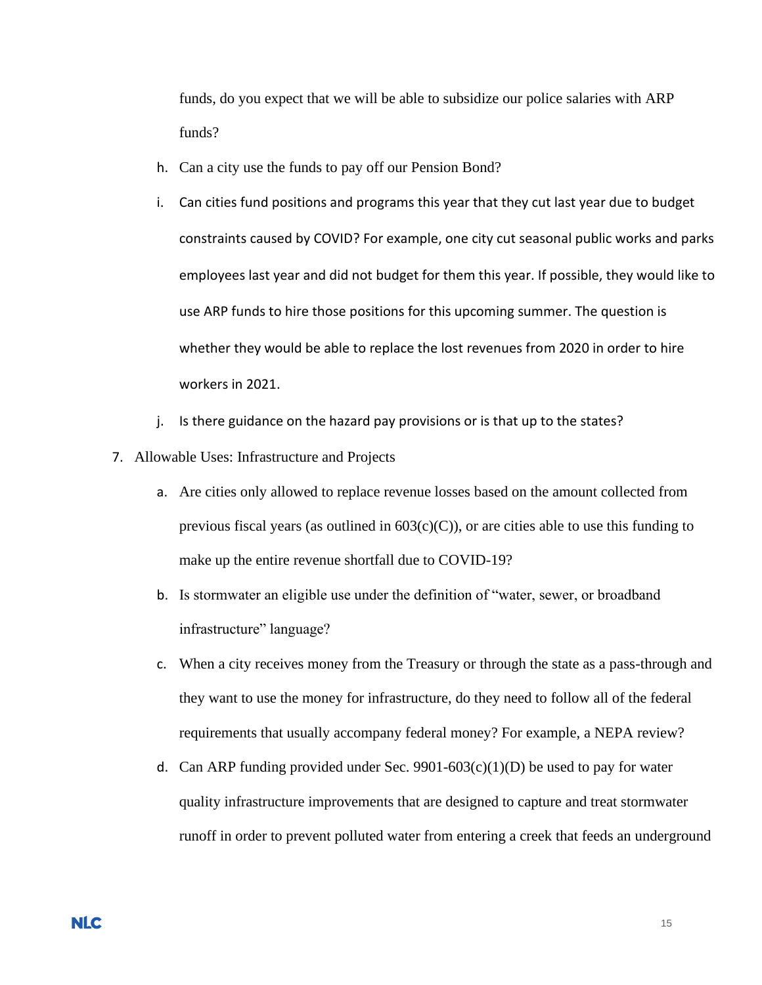funds, do you expect that we will be able to subsidize our police salaries with ARP funds?

- h. Can a city use the funds to pay off our Pension Bond?
- i. Can cities fund positions and programs this year that they cut last year due to budget constraints caused by COVID? For example, one city cut seasonal public works and parks employees last year and did not budget for them this year. If possible, they would like to use ARP funds to hire those positions for this upcoming summer. The question is whether they would be able to replace the lost revenues from 2020 in order to hire workers in 2021.
- j. Is there guidance on the hazard pay provisions or is that up to the states?
- 7. Allowable Uses: Infrastructure and Projects
	- a. Are cities only allowed to replace revenue losses based on the amount collected from previous fiscal years (as outlined in  $603(c)(C)$ ), or are cities able to use this funding to make up the entire revenue shortfall due to COVID-19?
	- b. Is stormwater an eligible use under the definition of "water, sewer, or broadband infrastructure" language?
	- c. When a city receives money from the Treasury or through the state as a pass-through and they want to use the money for infrastructure, do they need to follow all of the federal requirements that usually accompany federal money? For example, a NEPA review?
	- d. Can ARP funding provided under Sec. 9901-603(c)(1)(D) be used to pay for water quality infrastructure improvements that are designed to capture and treat stormwater runoff in order to prevent polluted water from entering a creek that feeds an underground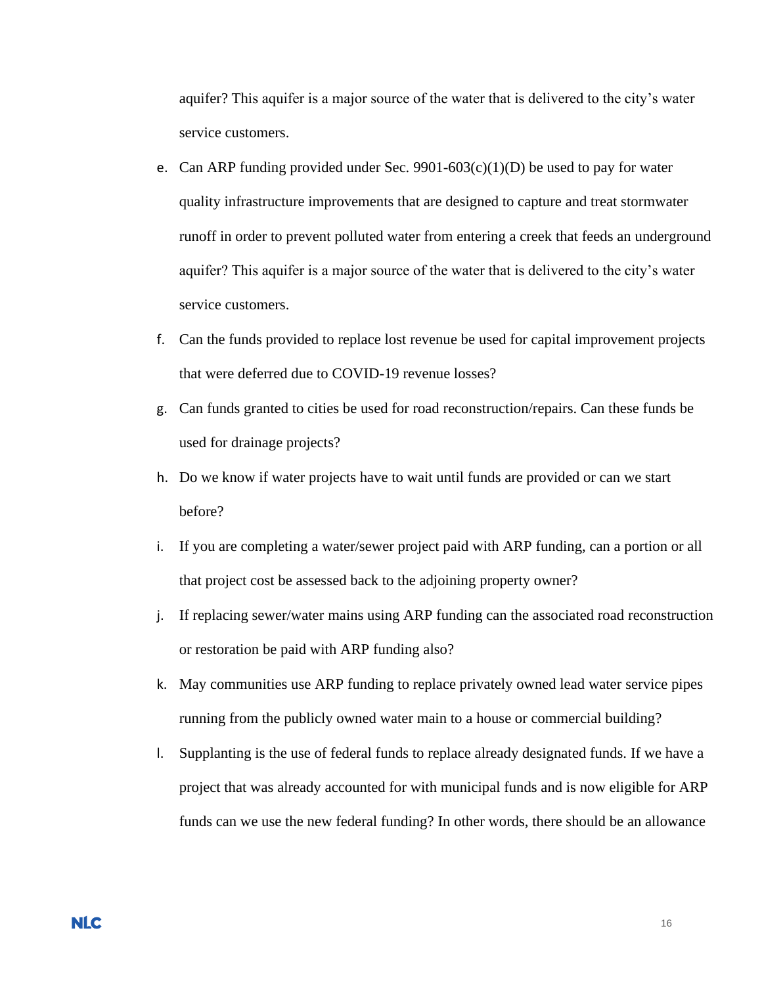aquifer? This aquifer is a major source of the water that is delivered to the city's water service customers.

- e. Can ARP funding provided under Sec. 9901-603(c)(1)(D) be used to pay for water quality infrastructure improvements that are designed to capture and treat stormwater runoff in order to prevent polluted water from entering a creek that feeds an underground aquifer? This aquifer is a major source of the water that is delivered to the city's water service customers.
- f. Can the funds provided to replace lost revenue be used for capital improvement projects that were deferred due to COVID-19 revenue losses?
- g. Can funds granted to cities be used for road reconstruction/repairs. Can these funds be used for drainage projects?
- h. Do we know if water projects have to wait until funds are provided or can we start before?
- i. If you are completing a water/sewer project paid with ARP funding, can a portion or all that project cost be assessed back to the adjoining property owner?
- j. If replacing sewer/water mains using ARP funding can the associated road reconstruction or restoration be paid with ARP funding also?
- k. May communities use ARP funding to replace privately owned lead water service pipes running from the publicly owned water main to a house or commercial building?
- l. Supplanting is the use of federal funds to replace already designated funds. If we have a project that was already accounted for with municipal funds and is now eligible for ARP funds can we use the new federal funding? In other words, there should be an allowance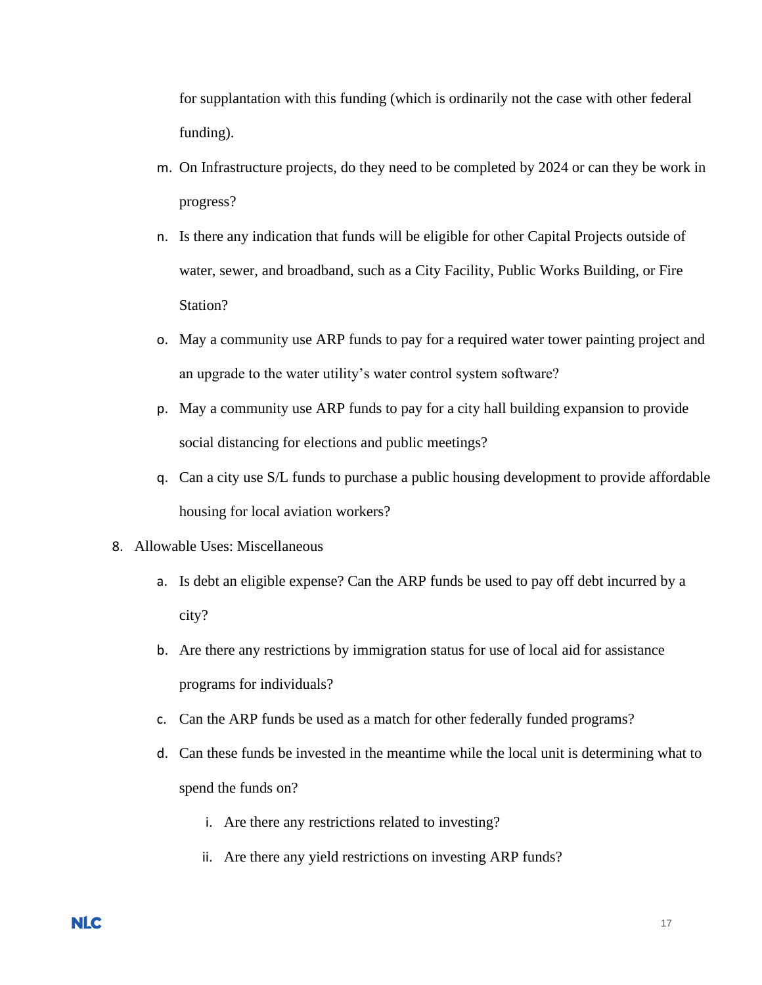for supplantation with this funding (which is ordinarily not the case with other federal funding).

- m. On Infrastructure projects, do they need to be completed by 2024 or can they be work in progress?
- n. Is there any indication that funds will be eligible for other Capital Projects outside of water, sewer, and broadband, such as a City Facility, Public Works Building, or Fire Station?
- o. May a community use ARP funds to pay for a required water tower painting project and an upgrade to the water utility's water control system software?
- p. May a community use ARP funds to pay for a city hall building expansion to provide social distancing for elections and public meetings?
- q. Can a city use S/L funds to purchase a public housing development to provide affordable housing for local aviation workers?
- 8. Allowable Uses: Miscellaneous
	- a. Is debt an eligible expense? Can the ARP funds be used to pay off debt incurred by a city?
	- b. Are there any restrictions by immigration status for use of local aid for assistance programs for individuals?
	- c. Can the ARP funds be used as a match for other federally funded programs?
	- d. Can these funds be invested in the meantime while the local unit is determining what to spend the funds on?
		- i. Are there any restrictions related to investing?
		- ii. Are there any yield restrictions on investing ARP funds?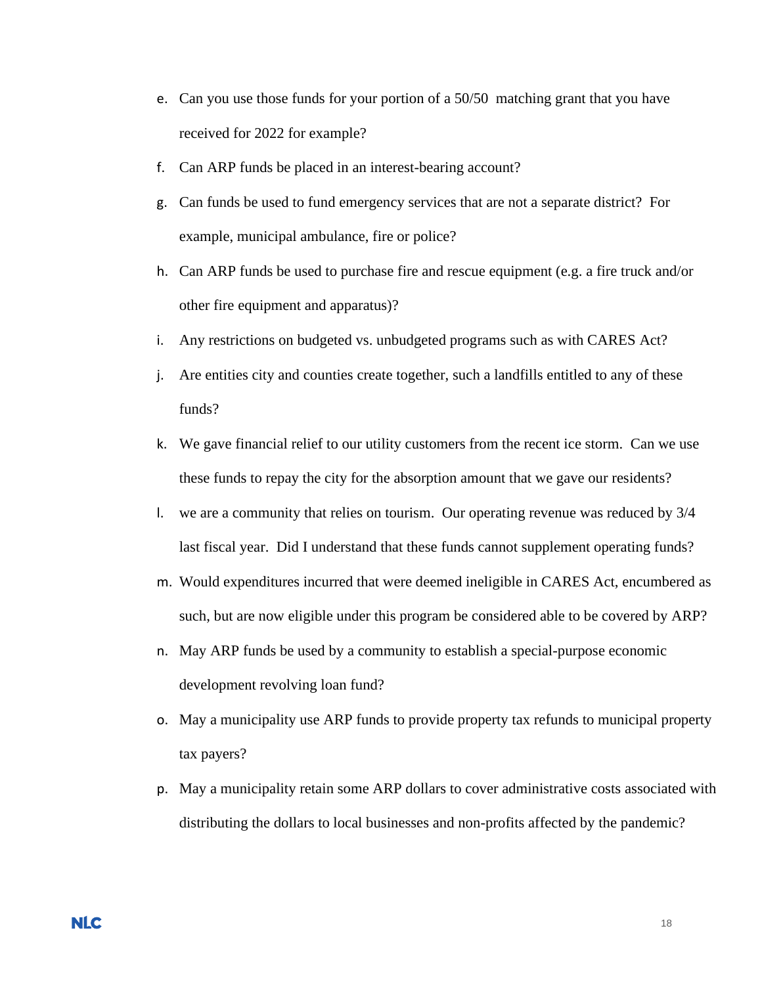- e. Can you use those funds for your portion of a 50/50 matching grant that you have received for 2022 for example?
- f. Can ARP funds be placed in an interest-bearing account?
- g. Can funds be used to fund emergency services that are not a separate district? For example, municipal ambulance, fire or police?
- h. Can ARP funds be used to purchase fire and rescue equipment (e.g. a fire truck and/or other fire equipment and apparatus)?
- i. Any restrictions on budgeted vs. unbudgeted programs such as with CARES Act?
- j. Are entities city and counties create together, such a landfills entitled to any of these funds?
- k. We gave financial relief to our utility customers from the recent ice storm. Can we use these funds to repay the city for the absorption amount that we gave our residents?
- l. we are a community that relies on tourism. Our operating revenue was reduced by 3/4 last fiscal year. Did I understand that these funds cannot supplement operating funds?
- m. Would expenditures incurred that were deemed ineligible in CARES Act, encumbered as such, but are now eligible under this program be considered able to be covered by ARP?
- n. May ARP funds be used by a community to establish a special-purpose economic development revolving loan fund?
- o. May a municipality use ARP funds to provide property tax refunds to municipal property tax payers?
- p. May a municipality retain some ARP dollars to cover administrative costs associated with distributing the dollars to local businesses and non-profits affected by the pandemic?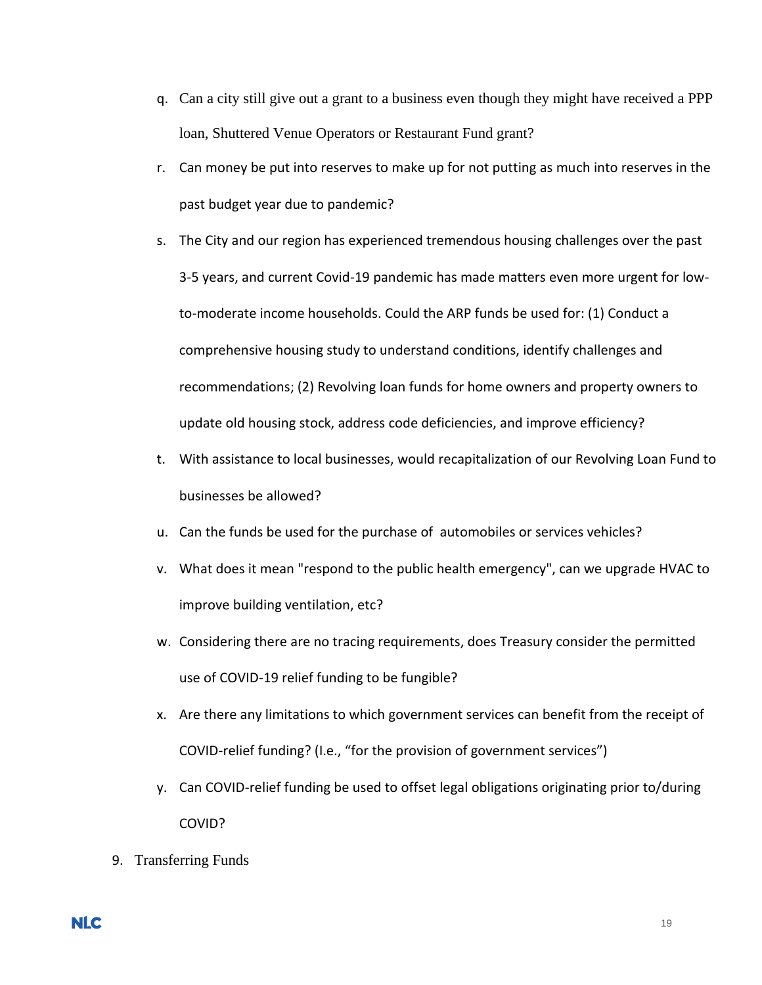- q. Can a city still give out a grant to a business even though they might have received a PPP loan, Shuttered Venue Operators or Restaurant Fund grant?
- r. Can money be put into reserves to make up for not putting as much into reserves in the past budget year due to pandemic?
- s. The City and our region has experienced tremendous housing challenges over the past 3-5 years, and current Covid-19 pandemic has made matters even more urgent for lowto-moderate income households. Could the ARP funds be used for: (1) Conduct a comprehensive housing study to understand conditions, identify challenges and recommendations; (2) Revolving loan funds for home owners and property owners to update old housing stock, address code deficiencies, and improve efficiency?
- t. With assistance to local businesses, would recapitalization of our Revolving Loan Fund to businesses be allowed?
- u. Can the funds be used for the purchase of automobiles or services vehicles?
- v. What does it mean "respond to the public health emergency", can we upgrade HVAC to improve building ventilation, etc?
- w. Considering there are no tracing requirements, does Treasury consider the permitted use of COVID-19 relief funding to be fungible?
- x. Are there any limitations to which government services can benefit from the receipt of COVID-relief funding? (I.e., "for the provision of government services")
- y. Can COVID-relief funding be used to offset legal obligations originating prior to/during COVID?
- 9. Transferring Funds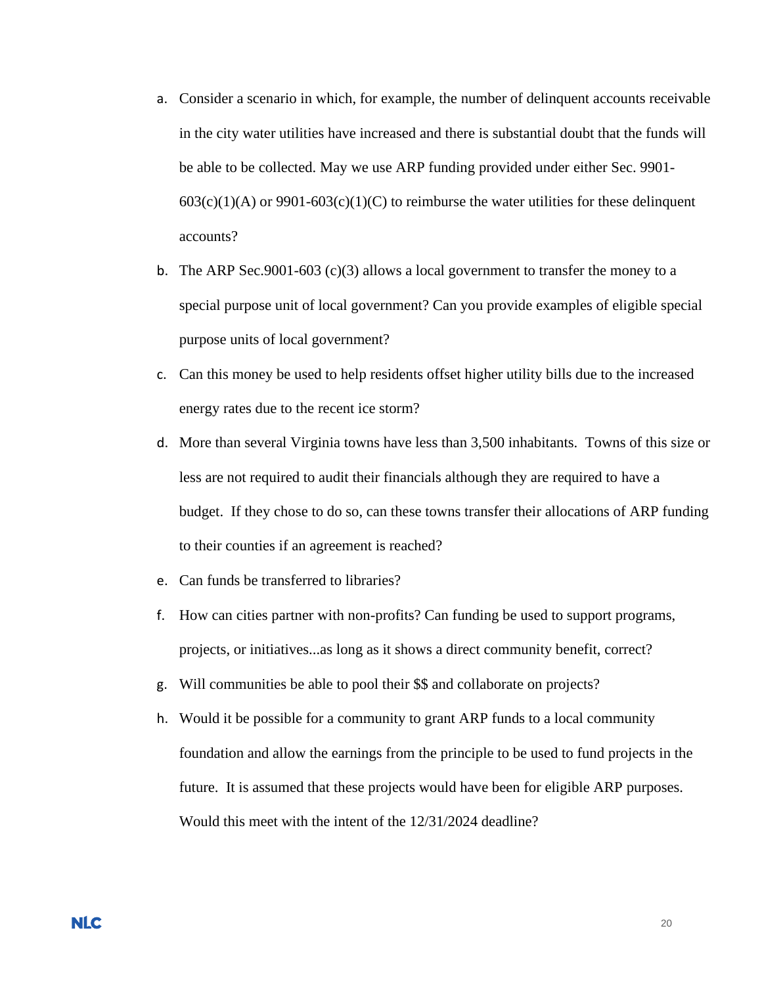- a. Consider a scenario in which, for example, the number of delinquent accounts receivable in the city water utilities have increased and there is substantial doubt that the funds will be able to be collected. May we use ARP funding provided under either Sec. 9901-  $603(c)(1)(A)$  or  $9901-603(c)(1)(C)$  to reimburse the water utilities for these delinquent accounts?
- b. The ARP Sec.9001-603 (c)(3) allows a local government to transfer the money to a special purpose unit of local government? Can you provide examples of eligible special purpose units of local government?
- c. Can this money be used to help residents offset higher utility bills due to the increased energy rates due to the recent ice storm?
- d. More than several Virginia towns have less than 3,500 inhabitants. Towns of this size or less are not required to audit their financials although they are required to have a budget. If they chose to do so, can these towns transfer their allocations of ARP funding to their counties if an agreement is reached?
- e. Can funds be transferred to libraries?
- f. How can cities partner with non-profits? Can funding be used to support programs, projects, or initiatives...as long as it shows a direct community benefit, correct?
- g. Will communities be able to pool their \$\$ and collaborate on projects?
- h. Would it be possible for a community to grant ARP funds to a local community foundation and allow the earnings from the principle to be used to fund projects in the future. It is assumed that these projects would have been for eligible ARP purposes. Would this meet with the intent of the 12/31/2024 deadline?